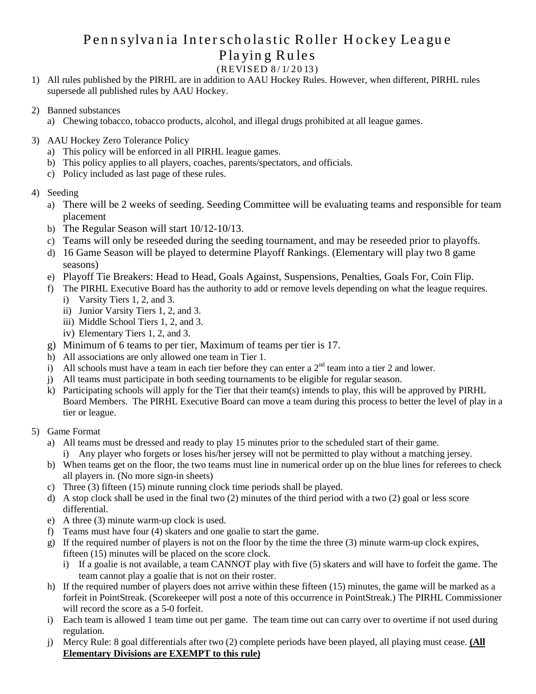## Pen n sylvan ia In terscholastic Roller Hockey League Playin g Rules (R EVISED 8 / 1/ 20 13)

- 1) All rules published by the PIRHL are in addition to AAU Hockey Rules. However, when different, PIRHL rules supersede all published rules by AAU Hockey.
- 2) Banned substances
	- a) Chewing tobacco, tobacco products, alcohol, and illegal drugs prohibited at all league games.
- 3) AAU Hockey Zero Tolerance Policy
	- a) This policy will be enforced in all PIRHL league games.
	- b) This policy applies to all players, coaches, parents/spectators, and officials.
	- c) Policy included as last page of these rules.
- 4) Seeding
	- a) There will be 2 weeks of seeding. Seeding Committee will be evaluating teams and responsible for team placement
	- b) The Regular Season will start 10/12-10/13.
	- c) Teams will only be reseeded during the seeding tournament, and may be reseeded prior to playoffs.
	- d) 16 Game Season will be played to determine Playoff Rankings. (Elementary will play two 8 game seasons)
	- e) Playoff Tie Breakers: Head to Head, Goals Against, Suspensions, Penalties, Goals For, Coin Flip.
	- f) The PIRHL Executive Board has the authority to add or remove levels depending on what the league requires.
		- i) Varsity Tiers 1, 2, and 3.
		- ii) Junior Varsity Tiers 1, 2, and 3.
		- iii) Middle School Tiers 1, 2, and 3.
		- iv) Elementary Tiers 1, 2, and 3.
	- g) Minimum of 6 teams to per tier, Maximum of teams per tier is 17.
	- h) All associations are only allowed one team in Tier 1.
	- i) All schools must have a team in each tier before they can enter a  $2<sup>nd</sup>$  team into a tier 2 and lower.
	- j) All teams must participate in both seeding tournaments to be eligible for regular season.
	- k) Participating schools will apply for the Tier that their team(s) intends to play, this will be approved by PIRHL Board Members. The PIRHL Executive Board can move a team during this process to better the level of play in a tier or league.
- 5) Game Format
	- a) All teams must be dressed and ready to play 15 minutes prior to the scheduled start of their game.
		- i) Any player who forgets or loses his/her jersey will not be permitted to play without a matching jersey.
	- b) When teams get on the floor, the two teams must line in numerical order up on the blue lines for referees to check all players in. (No more sign-in sheets)
	- c) Three (3) fifteen (15) minute running clock time periods shall be played.
	- d) A stop clock shall be used in the final two (2) minutes of the third period with a two (2) goal or less score differential.
	- e) A three (3) minute warm-up clock is used.
	- f) Teams must have four (4) skaters and one goalie to start the game.
	- g) If the required number of players is not on the floor by the time the three (3) minute warm-up clock expires, fifteen (15) minutes will be placed on the score clock.
		- i) If a goalie is not available, a team CANNOT play with five (5) skaters and will have to forfeit the game. The team cannot play a goalie that is not on their roster.
	- h) If the required number of players does not arrive within these fifteen (15) minutes, the game will be marked as a forfeit in PointStreak. (Scorekeeper will post a note of this occurrence in PointStreak.) The PIRHL Commissioner will record the score as a 5-0 forfeit.
	- i) Each team is allowed 1 team time out per game. The team time out can carry over to overtime if not used during regulation.
	- j) Mercy Rule: 8 goal differentials after two (2) complete periods have been played, all playing must cease. **(All Elementary Divisions are EXEMPT to this rule)**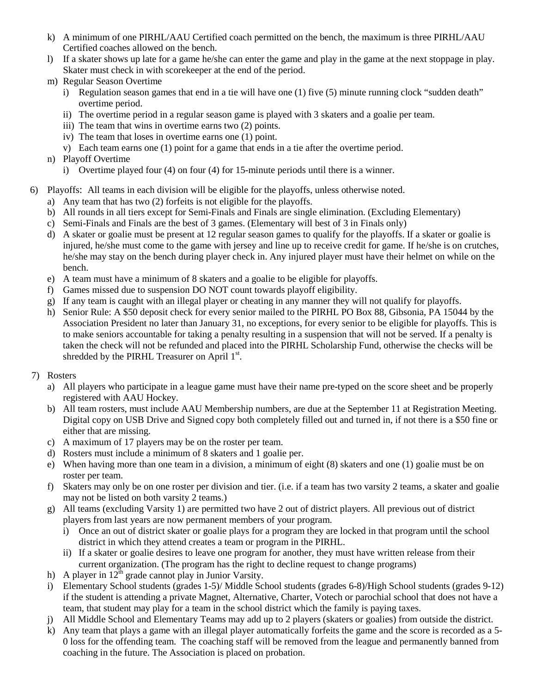- k) A minimum of one PIRHL/AAU Certified coach permitted on the bench, the maximum is three PIRHL/AAU Certified coaches allowed on the bench.
- l) If a skater shows up late for a game he/she can enter the game and play in the game at the next stoppage in play. Skater must check in with scorekeeper at the end of the period.
- m) Regular Season Overtime
	- i) Regulation season games that end in a tie will have one (1) five (5) minute running clock "sudden death" overtime period.
	- ii) The overtime period in a regular season game is played with 3 skaters and a goalie per team.
	- iii) The team that wins in overtime earns two (2) points.
	- iv) The team that loses in overtime earns one (1) point.
	- v) Each team earns one (1) point for a game that ends in a tie after the overtime period.
- n) Playoff Overtime
	- i) Overtime played four (4) on four (4) for 15-minute periods until there is a winner.
- 6) Playoffs: All teams in each division will be eligible for the playoffs, unless otherwise noted.
	- a) Any team that has two (2) forfeits is not eligible for the playoffs.
	- b) All rounds in all tiers except for Semi-Finals and Finals are single elimination. (Excluding Elementary)
	- c) Semi-Finals and Finals are the best of 3 games. (Elementary will best of 3 in Finals only)
	- d) A skater or goalie must be present at 12 regular season games to qualify for the playoffs. If a skater or goalie is injured, he/she must come to the game with jersey and line up to receive credit for game. If he/she is on crutches, he/she may stay on the bench during player check in. Any injured player must have their helmet on while on the bench.
	- e) A team must have a minimum of 8 skaters and a goalie to be eligible for playoffs.
	- f) Games missed due to suspension DO NOT count towards playoff eligibility.
	- g) If any team is caught with an illegal player or cheating in any manner they will not qualify for playoffs.
	- h) Senior Rule: A \$50 deposit check for every senior mailed to the PIRHL PO Box 88, Gibsonia, PA 15044 by the Association President no later than January 31, no exceptions, for every senior to be eligible for playoffs. This is to make seniors accountable for taking a penalty resulting in a suspension that will not be served. If a penalty is taken the check will not be refunded and placed into the PIRHL Scholarship Fund, otherwise the checks will be shredded by the PIRHL Treasurer on April 1st.
- 7) Rosters
	- a) All players who participate in a league game must have their name pre-typed on the score sheet and be properly registered with AAU Hockey.
	- b) All team rosters, must include AAU Membership numbers, are due at the September 11 at Registration Meeting. Digital copy on USB Drive and Signed copy both completely filled out and turned in, if not there is a \$50 fine or either that are missing.
	- c) A maximum of 17 players may be on the roster per team.
	- d) Rosters must include a minimum of 8 skaters and 1 goalie per.
	- e) When having more than one team in a division, a minimum of eight (8) skaters and one (1) goalie must be on roster per team.
	- f) Skaters may only be on one roster per division and tier. (i.e. if a team has two varsity 2 teams, a skater and goalie may not be listed on both varsity 2 teams.)
	- g) All teams (excluding Varsity 1) are permitted two have 2 out of district players. All previous out of district players from last years are now permanent members of your program.
		- i) Once an out of district skater or goalie plays for a program they are locked in that program until the school district in which they attend creates a team or program in the PIRHL.
		- ii) If a skater or goalie desires to leave one program for another, they must have written release from their current organization. (The program has the right to decline request to change programs)
	- h) A player in  $12^{th}$  grade cannot play in Junior Varsity.
	- i) Elementary School students (grades 1-5)/ Middle School students (grades 6-8)/High School students (grades 9-12) if the student is attending a private Magnet, Alternative, Charter, Votech or parochial school that does not have a team, that student may play for a team in the school district which the family is paying taxes.
	- j) All Middle School and Elementary Teams may add up to 2 players (skaters or goalies) from outside the district.
	- k) Any team that plays a game with an illegal player automatically forfeits the game and the score is recorded as a 5- 0 loss for the offending team. The coaching staff will be removed from the league and permanently banned from coaching in the future. The Association is placed on probation.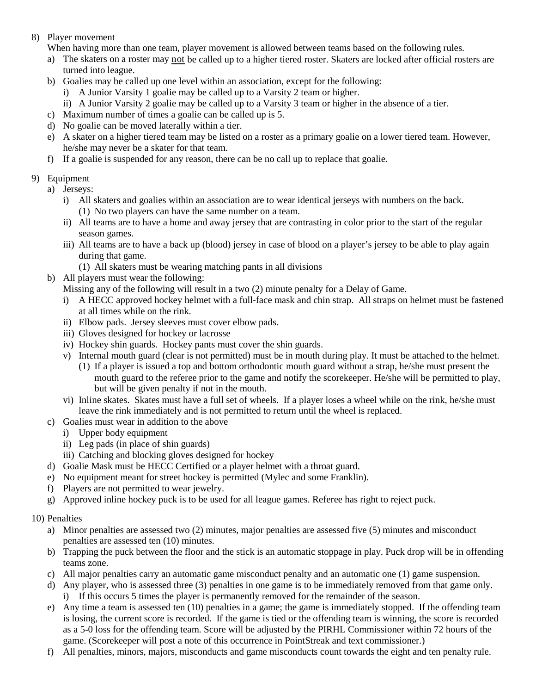#### 8) Player movement

When having more than one team, player movement is allowed between teams based on the following rules.

- a) The skaters on a roster may not be called up to a higher tiered roster. Skaters are locked after official rosters are turned into league.
- b) Goalies may be called up one level within an association, except for the following:
	- i) A Junior Varsity 1 goalie may be called up to a Varsity 2 team or higher.
	- ii) A Junior Varsity 2 goalie may be called up to a Varsity 3 team or higher in the absence of a tier.
- c) Maximum number of times a goalie can be called up is 5.
- d) No goalie can be moved laterally within a tier.
- e) A skater on a higher tiered team may be listed on a roster as a primary goalie on a lower tiered team. However, he/she may never be a skater for that team.
- f) If a goalie is suspended for any reason, there can be no call up to replace that goalie.

## 9) Equipment

- a) Jerseys:
	- i) All skaters and goalies within an association are to wear identical jerseys with numbers on the back. (1) No two players can have the same number on a team.
	- ii) All teams are to have a home and away jersey that are contrasting in color prior to the start of the regular season games.
	- iii) All teams are to have a back up (blood) jersey in case of blood on a player's jersey to be able to play again during that game.
		- (1) All skaters must be wearing matching pants in all divisions
- b) All players must wear the following:
	- Missing any of the following will result in a two (2) minute penalty for a Delay of Game.
	- i) A HECC approved hockey helmet with a full-face mask and chin strap. All straps on helmet must be fastened at all times while on the rink.
	- ii) Elbow pads. Jersey sleeves must cover elbow pads.
	- iii) Gloves designed for hockey or lacrosse
	- iv) Hockey shin guards. Hockey pants must cover the shin guards.
	- v) Internal mouth guard (clear is not permitted) must be in mouth during play. It must be attached to the helmet.
		- (1) If a player is issued a top and bottom orthodontic mouth guard without a strap, he/she must present the mouth guard to the referee prior to the game and notify the scorekeeper. He/she will be permitted to play, but will be given penalty if not in the mouth.
	- vi) Inline skates. Skates must have a full set of wheels. If a player loses a wheel while on the rink, he/she must leave the rink immediately and is not permitted to return until the wheel is replaced.
- c) Goalies must wear in addition to the above
	- i) Upper body equipment
	- ii) Leg pads (in place of shin guards)
	- iii) Catching and blocking gloves designed for hockey
- d) Goalie Mask must be HECC Certified or a player helmet with a throat guard.
- e) No equipment meant for street hockey is permitted (Mylec and some Franklin).
- f) Players are not permitted to wear jewelry.
- g) Approved inline hockey puck is to be used for all league games. Referee has right to reject puck.

#### 10) Penalties

- a) Minor penalties are assessed two (2) minutes, major penalties are assessed five (5) minutes and misconduct penalties are assessed ten (10) minutes.
- b) Trapping the puck between the floor and the stick is an automatic stoppage in play. Puck drop will be in offending teams zone.
- c) All major penalties carry an automatic game misconduct penalty and an automatic one (1) game suspension.
- d) Any player, who is assessed three (3) penalties in one game is to be immediately removed from that game only. i) If this occurs 5 times the player is permanently removed for the remainder of the season.
- e) Any time a team is assessed ten (10) penalties in a game; the game is immediately stopped. If the offending team is losing, the current score is recorded. If the game is tied or the offending team is winning, the score is recorded as a 5-0 loss for the offending team. Score will be adjusted by the PIRHL Commissioner within 72 hours of the game. (Scorekeeper will post a note of this occurrence in PointStreak and text commissioner.)
- f) All penalties, minors, majors, misconducts and game misconducts count towards the eight and ten penalty rule.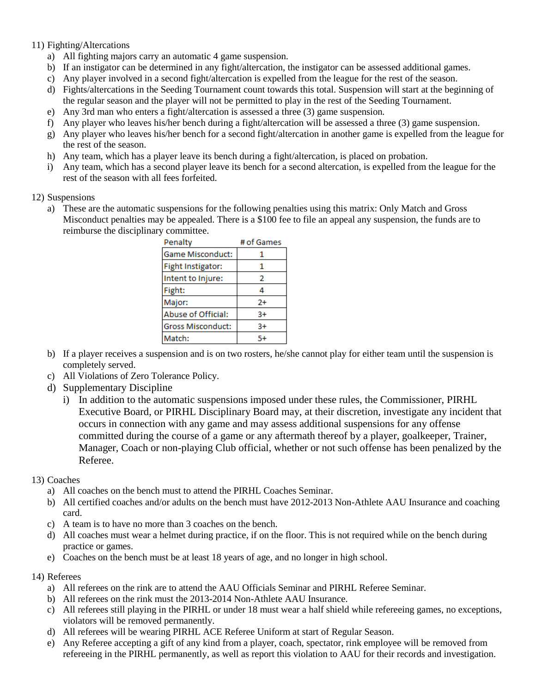#### 11) Fighting/Altercations

- a) All fighting majors carry an automatic 4 game suspension.
- b) If an instigator can be determined in any fight/altercation, the instigator can be assessed additional games.
- c) Any player involved in a second fight/altercation is expelled from the league for the rest of the season.
- d) Fights/altercations in the Seeding Tournament count towards this total. Suspension will start at the beginning of the regular season and the player will not be permitted to play in the rest of the Seeding Tournament.
- e) Any 3rd man who enters a fight/altercation is assessed a three (3) game suspension.
- f) Any player who leaves his/her bench during a fight/altercation will be assessed a three (3) game suspension.
- g) Any player who leaves his/her bench for a second fight/altercation in another game is expelled from the league for the rest of the season.
- h) Any team, which has a player leave its bench during a fight/altercation, is placed on probation.
- i) Any team, which has a second player leave its bench for a second altercation, is expelled from the league for the rest of the season with all fees forfeited.

#### 12) Suspensions

a) These are the automatic suspensions for the following penalties using this matrix: Only Match and Gross Misconduct penalties may be appealed. There is a \$100 fee to file an appeal any suspension, the funds are to reimburse the disciplinary committee.

| Penalty                  | # of Games |
|--------------------------|------------|
| Game Misconduct:         | 1          |
| Fight Instigator:        | 1          |
| Intent to Injure:        | 2          |
| Fight:                   | 4          |
| Major:                   | 2+         |
| Abuse of Official:       | 3+         |
| <b>Gross Misconduct:</b> | $3+$       |
| Match:                   | 5+         |

- b) If a player receives a suspension and is on two rosters, he/she cannot play for either team until the suspension is completely served.
- c) All Violations of Zero Tolerance Policy.
- d) Supplementary Discipline
	- i) In addition to the automatic suspensions imposed under these rules, the Commissioner, PIRHL Executive Board, or PIRHL Disciplinary Board may, at their discretion, investigate any incident that occurs in connection with any game and may assess additional suspensions for any offense committed during the course of a game or any aftermath thereof by a player, goalkeeper, Trainer, Manager, Coach or non-playing Club official, whether or not such offense has been penalized by the Referee.

## 13) Coaches

- a) All coaches on the bench must to attend the PIRHL Coaches Seminar.
- b) All certified coaches and/or adults on the bench must have 2012-2013 Non-Athlete AAU Insurance and coaching card.
- c) A team is to have no more than 3 coaches on the bench.
- d) All coaches must wear a helmet during practice, if on the floor. This is not required while on the bench during practice or games.
- e) Coaches on the bench must be at least 18 years of age, and no longer in high school.

## 14) Referees

- a) All referees on the rink are to attend the AAU Officials Seminar and PIRHL Referee Seminar.
- b) All referees on the rink must the 2013-2014 Non-Athlete AAU Insurance.
- c) All referees still playing in the PIRHL or under 18 must wear a half shield while refereeing games, no exceptions, violators will be removed permanently.
- d) All referees will be wearing PIRHL ACE Referee Uniform at start of Regular Season.
- e) Any Referee accepting a gift of any kind from a player, coach, spectator, rink employee will be removed from refereeing in the PIRHL permanently, as well as report this violation to AAU for their records and investigation.